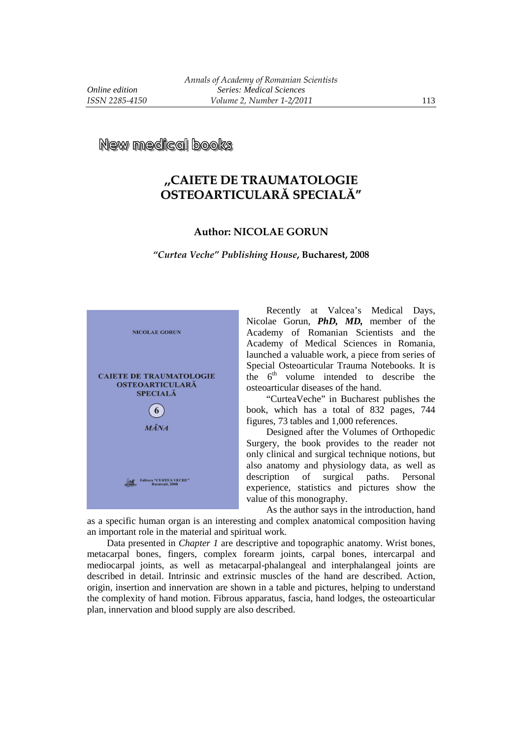**New medical books** 

## **,,CAIETE DE TRAUMATOLOGIE OSTEOARTICULARĂ SPECIALĂ"**

## **Author: NICOLAE GORUN**

## *"Curtea Veche" Publishing House***, Bucharest, 2008**



Recently at Valcea's Medical Days, Nicolae Gorun, *PhD, MD,* member of the Academy of Romanian Scientists and the Academy of Medical Sciences in Romania, launched a valuable work, a piece from series of Special Osteoarticular Trauma Notebooks. It is the  $6<sup>th</sup>$  volume intended to describe the osteoarticular diseases of the hand.

"CurteaVeche" in Bucharest publishes the book, which has a total of 832 pages, 744 figures, 73 tables and 1,000 references.

Designed after the Volumes of Orthopedic Surgery, the book provides to the reader not only clinical and surgical technique notions, but also anatomy and physiology data, as well as description of surgical paths. Personal experience, statistics and pictures show the value of this monography.

As the author says in the introduction, hand as a specific human organ is an interesting and complex anatomical composition having an important role in the material and spiritual work.

Data presented in *Chapter 1* are descriptive and topographic anatomy. Wrist bones, metacarpal bones, fingers, complex forearm joints, carpal bones, intercarpal and mediocarpal joints, as well as metacarpal-phalangeal and interphalangeal joints are described in detail. Intrinsic and extrinsic muscles of the hand are described. Action, origin, insertion and innervation are shown in a table and pictures, helping to understand the complexity of hand motion. Fibrous apparatus, fascia, hand lodges, the osteoarticular plan, innervation and blood supply are also described.